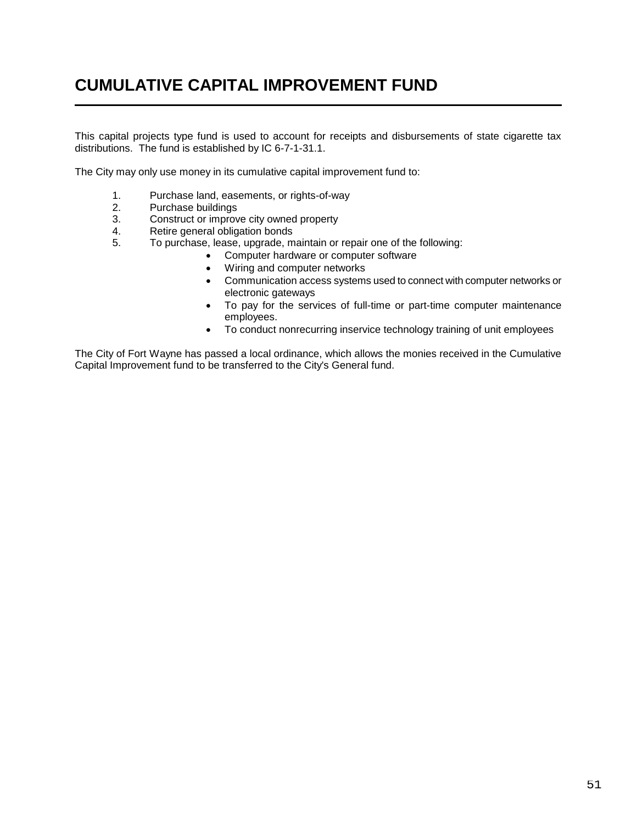## **CUMULATIVE CAPITAL IMPROVEMENT FUND**

This capital projects type fund is used to account for receipts and disbursements of state cigarette tax distributions. The fund is established by IC 6-7-1-31.1.

The City may only use money in its cumulative capital improvement fund to:

- 1. Purchase land, easements, or rights-of-way
- 2. Purchase buildings
- 3. Construct or improve city owned property
- 4. Retire general obligation bonds
- 5. To purchase, lease, upgrade, maintain or repair one of the following:
	- Computer hardware or computer software
		- Wiring and computer networks
		- Communication access systems used to connect with computer networks or electronic gateways
		- To pay for the services of full-time or part-time computer maintenance employees.
		- To conduct nonrecurring inservice technology training of unit employees

The City of Fort Wayne has passed a local ordinance, which allows the monies received in the Cumulative Capital Improvement fund to be transferred to the City's General fund.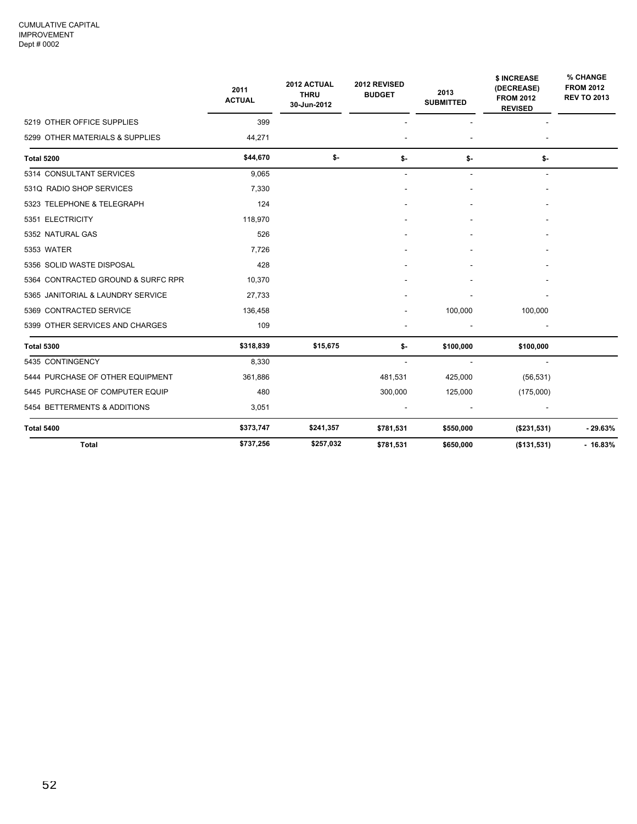|                                    | 2011<br><b>ACTUAL</b> | 2012 ACTUAL<br><b>THRU</b><br>30-Jun-2012 | 2012 REVISED<br><b>BUDGET</b> | 2013<br><b>SUBMITTED</b> | \$ INCREASE<br>(DECREASE)<br><b>FROM 2012</b><br><b>REVISED</b> | % CHANGE<br><b>FROM 2012</b><br><b>REV TO 2013</b> |
|------------------------------------|-----------------------|-------------------------------------------|-------------------------------|--------------------------|-----------------------------------------------------------------|----------------------------------------------------|
| 5219 OTHER OFFICE SUPPLIES         | 399                   |                                           |                               |                          |                                                                 |                                                    |
| 5299 OTHER MATERIALS & SUPPLIES    | 44,271                |                                           |                               |                          |                                                                 |                                                    |
| <b>Total 5200</b>                  | \$44,670              | \$-                                       | \$-                           | \$-                      | \$-                                                             |                                                    |
| 5314 CONSULTANT SERVICES           | 9,065                 |                                           | $\overline{\phantom{a}}$      | $\overline{\phantom{a}}$ | $\overline{\phantom{a}}$                                        |                                                    |
| 531Q RADIO SHOP SERVICES           | 7,330                 |                                           |                               |                          |                                                                 |                                                    |
| 5323 TELEPHONE & TELEGRAPH         | 124                   |                                           |                               |                          |                                                                 |                                                    |
| 5351 ELECTRICITY                   | 118,970               |                                           |                               |                          |                                                                 |                                                    |
| 5352 NATURAL GAS                   | 526                   |                                           |                               |                          |                                                                 |                                                    |
| 5353 WATER                         | 7,726                 |                                           |                               |                          |                                                                 |                                                    |
| 5356 SOLID WASTE DISPOSAL          | 428                   |                                           |                               |                          |                                                                 |                                                    |
| 5364 CONTRACTED GROUND & SURFC RPR | 10,370                |                                           |                               |                          |                                                                 |                                                    |
| 5365 JANITORIAL & LAUNDRY SERVICE  | 27,733                |                                           |                               |                          |                                                                 |                                                    |
| 5369 CONTRACTED SERVICE            | 136,458               |                                           |                               | 100,000                  | 100,000                                                         |                                                    |
| 5399 OTHER SERVICES AND CHARGES    | 109                   |                                           |                               |                          |                                                                 |                                                    |
| <b>Total 5300</b>                  | \$318,839             | \$15,675                                  | \$-                           | \$100,000                | \$100,000                                                       |                                                    |
| 5435 CONTINGENCY                   | 8,330                 |                                           |                               |                          |                                                                 |                                                    |
| 5444 PURCHASE OF OTHER EQUIPMENT   | 361,886               |                                           | 481,531                       | 425,000                  | (56, 531)                                                       |                                                    |
| 5445 PURCHASE OF COMPUTER EQUIP    | 480                   |                                           | 300,000                       | 125,000                  | (175,000)                                                       |                                                    |
| 5454 BETTERMENTS & ADDITIONS       | 3,051                 |                                           |                               |                          |                                                                 |                                                    |
| <b>Total 5400</b>                  | \$373,747             | \$241,357                                 | \$781,531                     | \$550,000                | (\$231,531)                                                     | $-29.63%$                                          |
| <b>Total</b>                       | \$737,256             | \$257,032                                 | \$781,531                     | \$650,000                | ( \$131, 531)                                                   | $-16.83%$                                          |